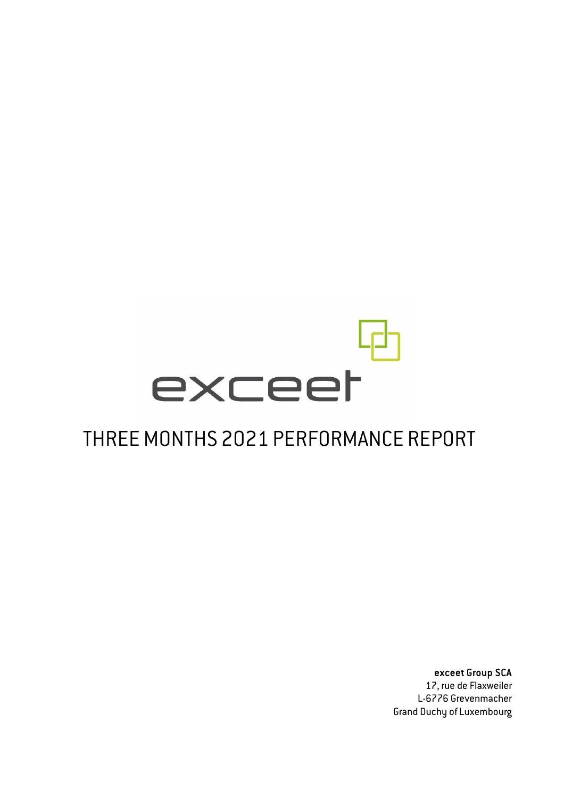# exceet

### THREE MONTHS 2021 PERFORMANCE REPORT

exceet Group SCA

17, rue de Flaxweiler L-6776 Grevenmacher Grand Duchy of Luxembourg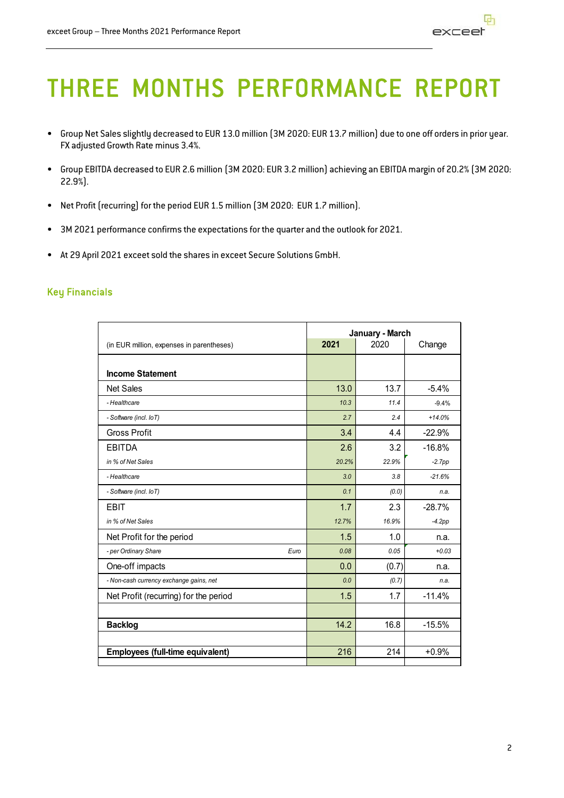# THREE MONTHS PERFORMANCE REPORT

- Group Net Sales slightly decreased to EUR 13.0 million (3M 2020: EUR 13.7 million) due to one off orders in prior year. FX adjusted Growth Rate minus 3.4%.
- Group EBITDA decreased to EUR 2.6 million (3M 2020: EUR 3.2 million) achieving an EBITDA margin of 20.2% (3M 2020: 22.9%).
- Net Profit (recurring) for the period EUR 1.5 million (3M 2020: EUR 1.7 million).
- 3M 2021 performance confirms the expectations for the quarter and the outlook for 2021.
- At 29 April 2021 exceet sold the shares in exceet Secure Solutions GmbH.

#### Key Financials

|                                           | January - March        |       |          |  |
|-------------------------------------------|------------------------|-------|----------|--|
| (in EUR million, expenses in parentheses) | 2021<br>2020<br>Change |       |          |  |
|                                           |                        |       |          |  |
| <b>Income Statement</b>                   |                        |       |          |  |
| <b>Net Sales</b>                          | 13.0                   | 13.7  | $-5.4%$  |  |
| - Healthcare                              | 10.3                   | 11.4  | $-9.4%$  |  |
| - Software (incl. loT)                    | 2.7                    | 2.4   | $+14.0%$ |  |
| <b>Gross Profit</b>                       | 3.4                    | 4.4   | $-22.9%$ |  |
| <b>EBITDA</b>                             | 2.6                    | 3.2   | $-16.8%$ |  |
| in % of Net Sales                         | 20.2%                  | 22.9% | $-2.7pp$ |  |
| - Healthcare                              | 3.0                    | 3.8   | $-21.6%$ |  |
| - Software (incl. IoT)                    | 0.1                    | (0.0) | n.a.     |  |
| <b>EBIT</b>                               | 1.7                    | 2.3   | $-28.7%$ |  |
| in % of Net Sales                         | 12.7%                  | 16.9% | $-4.2pp$ |  |
| Net Profit for the period                 | 1.5                    | 1.0   | n.a.     |  |
| - per Ordinary Share<br>Euro              | 0.08                   | 0.05  | $+0.03$  |  |
| One-off impacts                           | 0.0                    | (0.7) | n.a.     |  |
| - Non-cash currency exchange gains, net   | 0.0                    | (0.7) | n.a.     |  |
| Net Profit (recurring) for the period     | 1.5                    | 1.7   | $-11.4%$ |  |
|                                           |                        |       |          |  |
| <b>Backlog</b>                            | 14.2                   | 16.8  | $-15.5%$ |  |
|                                           |                        |       |          |  |
| Employees (full-time equivalent)          | 216                    | 214   | $+0.9%$  |  |
|                                           |                        |       |          |  |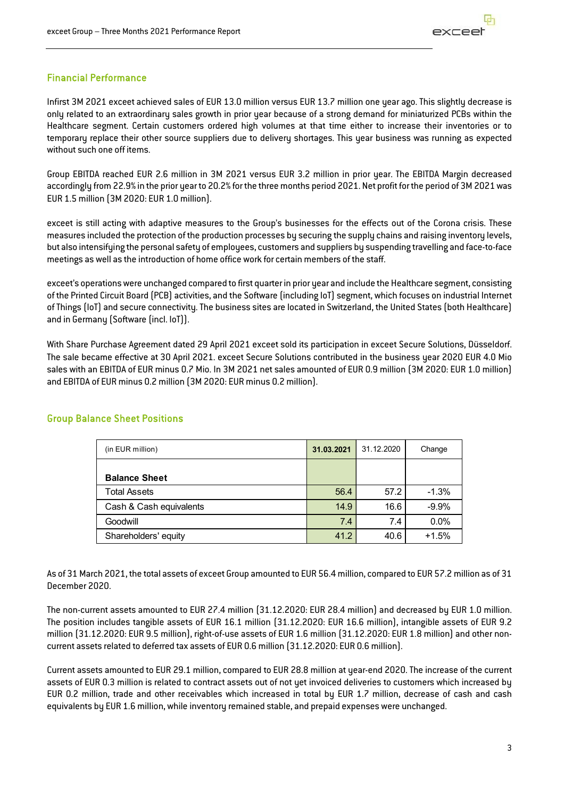#### Financial Performance

Infirst 3M 2021 exceet achieved sales of EUR 13.0 million versus EUR 13.7 million one year ago. This slightly decrease is only related to an extraordinary sales growth in prior year because of a strong demand for miniaturized PCBs within the Healthcare segment. Certain customers ordered high volumes at that time either to increase their inventories or to temporary replace their other source suppliers due to delivery shortages. This year business was running as expected without such one off items.

Group EBITDA reached EUR 2.6 million in 3M 2021 versus EUR 3.2 million in prior year. The EBITDA Margin decreased accordingly from 22.9% in the prior year to 20.2% for the three months period 2021. Net profit for the period of 3M 2021 was EUR 1.5 million (3M 2020: EUR 1.0 million).

exceet is still acting with adaptive measures to the Group's businesses for the effects out of the Corona crisis. These measures included the protection of the production processes by securing the supply chains and raising inventory levels, but also intensifying the personal safety of employees, customers and suppliers by suspending travelling and face-to-face meetings as well as the introduction of home office work for certain members of the staff.

exceet's operations were unchanged compared to first quarter in prior year and include the Healthcare segment, consisting of the Printed Circuit Board (PCB) activities, and the Software (including IoT) segment, which focuses on industrial Internet of Things (IoT) and secure connectivity. The business sites are located in Switzerland, the United States (both Healthcare) and in Germany (Software (incl. IoT)).

With Share Purchase Agreement dated 29 April 2021 exceet sold its participation in exceet Secure Solutions, Düsseldorf. The sale became effective at 30 April 2021. exceet Secure Solutions contributed in the business year 2020 EUR 4.0 Mio sales with an EBITDA of EUR minus 0.7 Mio. In 3M 2021 net sales amounted of EUR 0.9 million (3M 2020: EUR 1.0 million) and EBITDA of EUR minus 0.2 million (3M 2020: EUR minus 0.2 million).

| (in EUR million)        | 31.03.2021 | 31.12.2020 | Change  |
|-------------------------|------------|------------|---------|
| <b>Balance Sheet</b>    |            |            |         |
| <b>Total Assets</b>     | 56.4       | 57.2       | $-1.3%$ |
| Cash & Cash equivalents | 14.9       | 16.6       | $-9.9%$ |
| Goodwill                | 7.4        | 7.4        | 0.0%    |
| Shareholders' equity    | 41.2       | 40.6       | $+1.5%$ |

#### Group Balance Sheet Positions

As of 31 March 2021, the total assets of exceet Group amounted to EUR 56.4 million, compared to EUR 57.2 million as of 31 December 2020.

The non-current assets amounted to EUR 27.4 million (31.12.2020: EUR 28.4 million) and decreased by EUR 1.0 million. The position includes tangible assets of EUR 16.1 million (31.12.2020: EUR 16.6 million), intangible assets of EUR 9.2 million (31.12.2020: EUR 9.5 million), right-of-use assets of EUR 1.6 million (31.12.2020: EUR 1.8 million) and other noncurrent assets related to deferred tax assets of EUR 0.6 million (31.12.2020: EUR 0.6 million).

Current assets amounted to EUR 29.1 million, compared to EUR 28.8 million at uear-end 2020. The increase of the current assets of EUR 0.3 million is related to contract assets out of not yet invoiced deliveries to customers which increased by EUR 0.2 million, trade and other receivables which increased in total by EUR 1.7 million, decrease of cash and cash equivalents by EUR 1.6 million, while inventory remained stable, and prepaid expenses were unchanged.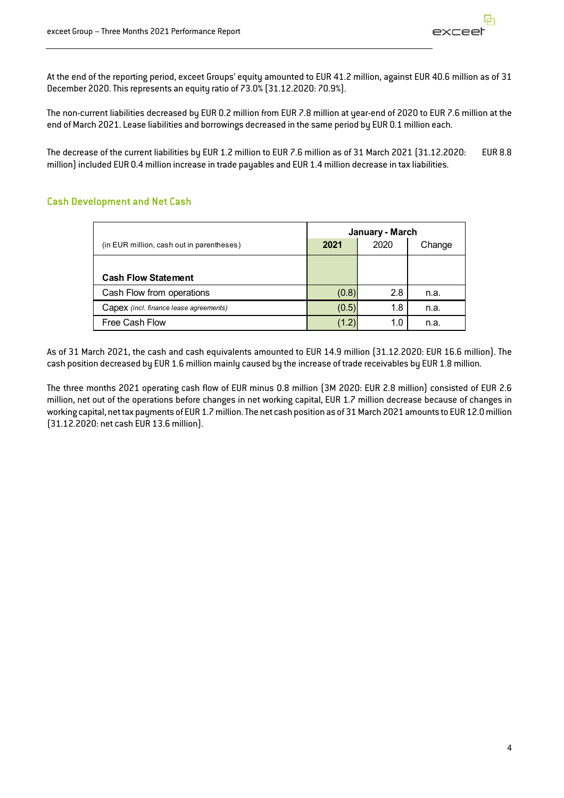At the end of the reporting period, exceet Groups' equity amounted to EUR 41.2 million, against EUR 40.6 million as of 31 December 2020. This represents an equity ratio of 73.0% (31.12.2020: 70.9%).

The non-current liabilities decreased by EUR 0.2 million from EUR 7.8 million at year-end of 2020 to EUR 7.6 million at the end of March 2021. Lease liabilities and borrowings decreased in the same period by EUR 0.1 million each.

The decrease of the current liabilities by EUR 1.2 million to EUR 7.6 million as of 31 March 2021 (31.12.2020: EUR 8.8 million) included EUR 0.4 million increase in trade payables and EUR 1.4 million decrease in tax liabilities.

#### Cash Development and Net Cash

|                                           | January - March        |     |      |  |  |
|-------------------------------------------|------------------------|-----|------|--|--|
| (in EUR million, cash out in parentheses) | 2020<br>Change<br>2021 |     |      |  |  |
|                                           |                        |     |      |  |  |
| <b>Cash Flow Statement</b>                |                        |     |      |  |  |
| Cash Flow from operations                 | (0.8)                  | 2.8 | n.a. |  |  |
| Capex (incl. finance lease agreements)    | (0.5)                  | 1.8 | n.a. |  |  |
| Free Cash Flow                            | (1.2)                  | 1.0 | n.a. |  |  |

As of 31 March 2021, the cash and cash equivalents amounted to EUR 14.9 million (31.12.2020: EUR 16.6 million). The cash position decreased by EUR 1.6 million mainly caused by the increase of trade receivables by EUR 1.8 million.

The three months 2021 operating cash flow of EUR minus 0.8 million (3M 2020: EUR 2.8 million) consisted of EUR 2.6 million, net out of the operations before changes in net working capital, EUR 1.7 million decrease because of changes in working capital, net tax payments of EUR 1.7 million. The net cash position as of 31 March 2021 amounts to EUR 12.0 million (31.12.2020: net cash EUR 13.6 million).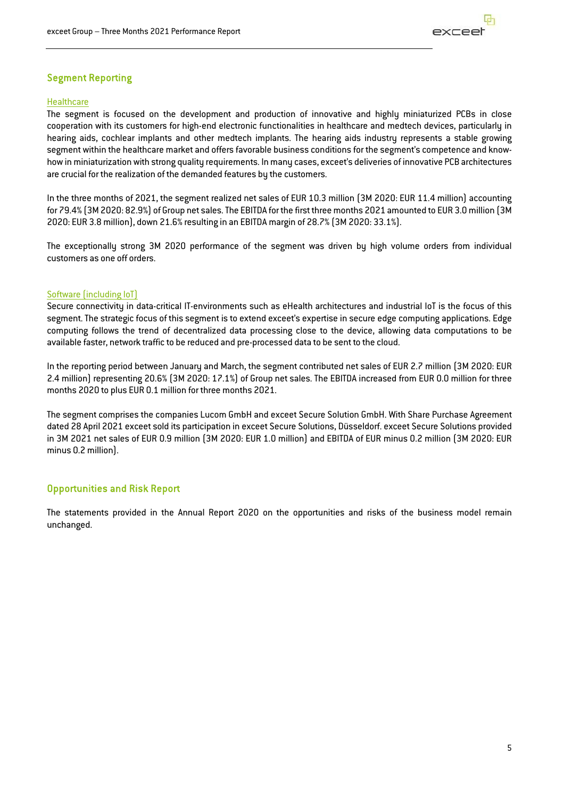

#### Segment Reporting

#### **Healthcare**

The segment is focused on the development and production of innovative and highly miniaturized PCBs in close cooperation with its customers for high-end electronic functionalities in healthcare and medtech devices, particularly in hearing aids, cochlear implants and other medtech implants. The hearing aids industry represents a stable growing segment within the healthcare market and offers favorable business conditions for the segment's competence and knowhow in miniaturization with strong quality requirements. In many cases, exceet's deliveries of innovative PCB architectures are crucial for the realization of the demanded features by the customers.

In the three months of 2021, the segment realized net sales of EUR 10.3 million (3M 2020: EUR 11.4 million) accounting for 79.4% (3M 2020: 82.9%) of Group net sales. The EBITDA for the first three months 2021 amounted to EUR 3.0 million (3M 2020: EUR 3.8 million), down 21.6% resulting in an EBITDA margin of 28.7% (3M 2020: 33.1%).

The exceptionally strong 3M 2020 performance of the segment was driven by high volume orders from individual customers as one off orders.

#### Software (including IoT)

Secure connectivity in data-critical IT-environments such as eHealth architectures and industrial IoT is the focus of this segment. The strategic focus of this segment is to extend exceet's expertise in secure edge computing applications. Edge computing follows the trend of decentralized data processing close to the device, allowing data computations to be available faster, network traffic to be reduced and pre-processed data to be sent to the cloud.

In the reporting period between January and March, the segment contributed net sales of EUR 2.7 million (3M 2020: EUR 2.4 million) representing 20.6% (3M 2020: 17.1%) of Group net sales. The EBITDA increased from EUR 0.0 million for three months 2020 to plus EUR 0.1 million for three months 2021.

The segment comprises the companies Lucom GmbH and exceet Secure Solution GmbH. With Share Purchase Agreement dated 28 April 2021 exceet sold its participation in exceet Secure Solutions, Düsseldorf. exceet Secure Solutions provided in 3M 2021 net sales of EUR 0.9 million (3M 2020: EUR 1.0 million) and EBITDA of EUR minus 0.2 million (3M 2020: EUR minus 0.2 million).

#### Opportunities and Risk Report

The statements provided in the Annual Report 2020 on the opportunities and risks of the business model remain unchanged.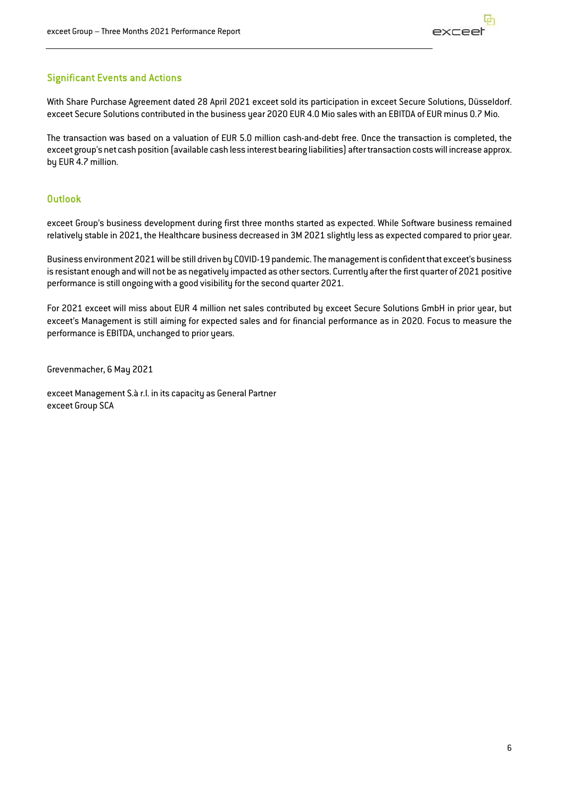#### Significant Events and Actions

With Share Purchase Agreement dated 28 April 2021 exceet sold its participation in exceet Secure Solutions, Düsseldorf. exceet Secure Solutions contributed in the business year 2020 EUR 4.0 Mio sales with an EBITDA of EUR minus 0.7 Mio.

The transaction was based on a valuation of EUR 5.0 million cash-and-debt free. Once the transaction is completed, the exceet group's net cash position (available cash less interest bearing liabilities) after transaction costs will increase approx. by EUR 4.7 million.

#### **Outlook**

exceet Group's business development during first three months started as expected. While Software business remained relatively stable in 2021, the Healthcare business decreased in 3M 2021 slightly less as expected compared to prior year.

Business environment 2021 will be still driven by COVID-19 pandemic. The management is confident that exceet's business is resistant enough and will not be as negatively impacted as other sectors. Currently after the first quarter of 2021 positive performance is still ongoing with a good visibility for the second quarter 2021.

For 2021 exceet will miss about EUR 4 million net sales contributed by exceet Secure Solutions GmbH in prior year, but exceet's Management is still aiming for expected sales and for financial performance as in 2020. Focus to measure the performance is EBITDA, unchanged to prior years.

Grevenmacher, 6 May 2021

exceet Management S.à r.l. in its capacity as General Partner exceet Group SCA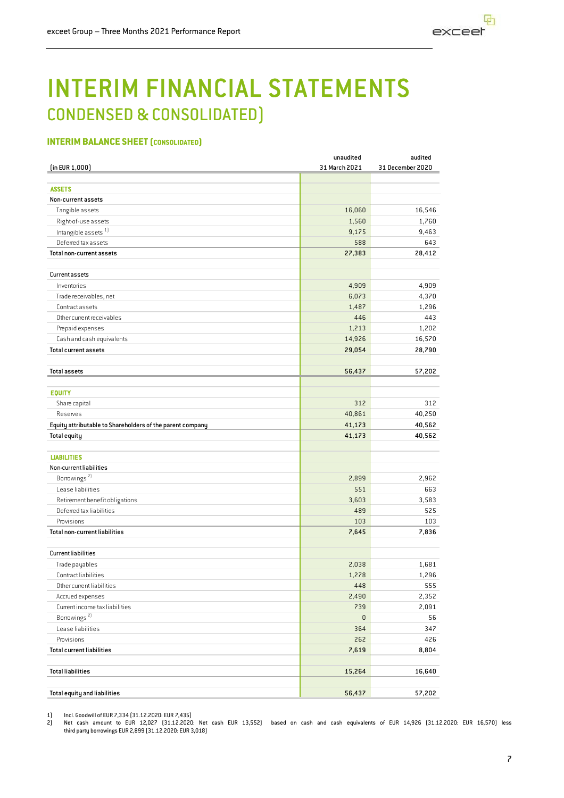

## INTERIM FINANCIAL STATEMENTS CONDENSED & CONSOLIDATED)

#### **INTERIM BALANCE SHEET (CONSOLIDATED)**

| unaudited | audited                                                                                                                                                                                            |
|-----------|----------------------------------------------------------------------------------------------------------------------------------------------------------------------------------------------------|
|           | 31 December 2020                                                                                                                                                                                   |
|           |                                                                                                                                                                                                    |
|           |                                                                                                                                                                                                    |
|           |                                                                                                                                                                                                    |
|           | 16,546                                                                                                                                                                                             |
|           | 1,760<br>9,463                                                                                                                                                                                     |
|           | 643                                                                                                                                                                                                |
|           | 28,412                                                                                                                                                                                             |
|           |                                                                                                                                                                                                    |
|           |                                                                                                                                                                                                    |
| 4,909     | 4,909                                                                                                                                                                                              |
| 6,073     | 4,370                                                                                                                                                                                              |
| 1,487     | 1,296                                                                                                                                                                                              |
| 446       | 443                                                                                                                                                                                                |
| 1,213     | 1,202                                                                                                                                                                                              |
| 14,926    | 16,570                                                                                                                                                                                             |
| 29,054    | 28,790                                                                                                                                                                                             |
|           |                                                                                                                                                                                                    |
|           | 57,202                                                                                                                                                                                             |
|           |                                                                                                                                                                                                    |
|           | 312                                                                                                                                                                                                |
|           | 40,250                                                                                                                                                                                             |
|           | 40,562                                                                                                                                                                                             |
|           | 40,562                                                                                                                                                                                             |
|           |                                                                                                                                                                                                    |
|           |                                                                                                                                                                                                    |
|           |                                                                                                                                                                                                    |
| 2,899     | 2,962                                                                                                                                                                                              |
| 551       | 663                                                                                                                                                                                                |
| 3,603     | 3,583                                                                                                                                                                                              |
| 489       | 525                                                                                                                                                                                                |
| 103       | 103                                                                                                                                                                                                |
| 7,645     | 7,836                                                                                                                                                                                              |
|           |                                                                                                                                                                                                    |
|           |                                                                                                                                                                                                    |
|           | 1,681                                                                                                                                                                                              |
|           | 1,296<br>555                                                                                                                                                                                       |
|           |                                                                                                                                                                                                    |
|           | 2,352                                                                                                                                                                                              |
|           | 2,091                                                                                                                                                                                              |
|           | 56<br>347                                                                                                                                                                                          |
|           |                                                                                                                                                                                                    |
|           | 426<br>8,804                                                                                                                                                                                       |
|           |                                                                                                                                                                                                    |
|           | 16,640                                                                                                                                                                                             |
|           |                                                                                                                                                                                                    |
| 56,437    | 57,202                                                                                                                                                                                             |
|           | 31 March 2021<br>16,060<br>1,560<br>9,175<br>588<br>27,383<br>56,437<br>312<br>40,861<br>41,173<br>41,173<br>2,038<br>1,278<br>448<br>2,490<br>739<br>$\mathsf 0$<br>364<br>262<br>7,619<br>15,264 |

1) Incl. Goodwill of EUR 7,334 (31.12.2020: EUR 7,435)<br>2) Net cash amount to EUR 12,027 (31.12.2020

2) Net cash amount to EUR 12,027 (31.12.2020: Net cash EUR 13,552) based on cash and cash equivalents of EUR 14,926 (31.12.2020: EUR 16,570) less third party borrowings EUR 2,899 (31.12.2020: EUR 3,018)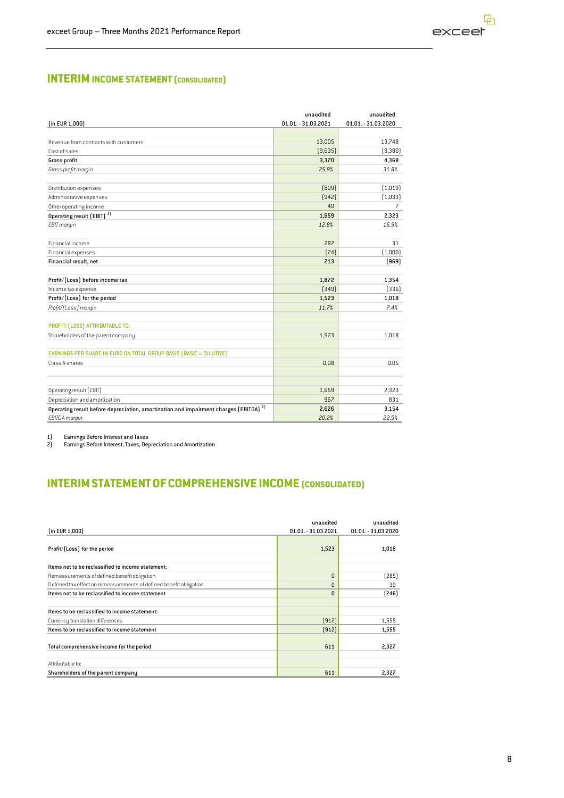#### **INTERIM INCOME STATEMENT (CONSOLIDATED)**

|                                                                                                  | unaudited           | unaudited           |
|--------------------------------------------------------------------------------------------------|---------------------|---------------------|
| (in EUR 1,000)                                                                                   | 01.01. - 31.03.2021 | 01.01. - 31.03.2020 |
|                                                                                                  |                     |                     |
| Revenue from contracts with customers                                                            | 13,005              | 13,748              |
| Cost of sales                                                                                    | [9,635]             | (9, 380)            |
| Gross profit                                                                                     | 3,370               | 4,368               |
| Gross profit margin                                                                              | 25.9%               | 31.8%               |
| Distribution expenses                                                                            | [809]               | (1,019)             |
| Administrative expenses                                                                          | [942]               | [1,033]             |
| Other operating income                                                                           | 40                  | 7                   |
|                                                                                                  | 1,659               | 2,323               |
| Operating result [EBIT] <sup>1]</sup>                                                            | 12.8%               | 16.9%               |
| EBIT margin                                                                                      |                     |                     |
| Financial income                                                                                 | 287                 | 31                  |
| Financial expenses                                                                               | [74]                | (1,000)             |
| Financial result, net                                                                            | 213                 | (969)               |
| Profit/[Loss] before income tax                                                                  | 1,872               | 1,354               |
| Income tax expense                                                                               | [349]               | [336]               |
| Profit/(Loss) for the period                                                                     | 1,523               | 1,018               |
| Profit/[Loss] margin                                                                             | 11.7%               | 7.4%                |
| PROFIT/[LOSS] ATTRIBUTABLE TO:                                                                   |                     |                     |
| Shareholders of the parent company                                                               | 1,523               | 1,018               |
|                                                                                                  |                     |                     |
| EARNINGS PER SHARE IN EURO ON TOTAL GROUP BASIS (BASIC = DILUTIVE)                               |                     |                     |
| Class A shares                                                                                   | 0.08                | 0.05                |
|                                                                                                  |                     |                     |
| Operating result [EBIT]                                                                          | 1,659               | 2,323               |
| Depreciation and amortization                                                                    | 967                 | 831                 |
| Operating result before depreciation, amortization and impairment charges (EBITDA) <sup>2]</sup> | 2,626               | 3,154               |
| <b>EBITDA</b> margin                                                                             | 20.2%               | 22.9%               |
|                                                                                                  |                     |                     |

1) Earnings Before Interest and Taxes

2) Earnings Before Interest, Taxes, Depreciation and Amortization

#### **INTERIMSTATEMENTOFCOMPREHENSIVE INCOME (CONSOLIDATED)**

| $[$ in EUR 1,000 $]$                                                | unaudited<br>01.01. - 31.03.2021 | unaudited<br>01.01. - 31.03.2020 |
|---------------------------------------------------------------------|----------------------------------|----------------------------------|
|                                                                     |                                  |                                  |
| Profit/[Loss] for the period                                        | 1,523                            | 1,018                            |
| Items not to be reclassified to income statement:                   |                                  |                                  |
| Remeasurements of defined benefit obligation                        | $\Omega$                         | [285]                            |
| Deferred tax effect on remeasurements of defined benefit obligation | $\Omega$                         | 39                               |
| Items not to be reclassified to income statement                    | $\Omega$                         | $[246]$                          |
| Items to be reclassified to income statement:                       |                                  |                                  |
| Currency translation differences                                    | [912]                            | 1,555                            |
| Items to be reclassified to income statement                        | (912)                            | 1,555                            |
| Total comprehensive income for the period                           | 611                              | 2,327                            |
| Attributable to:                                                    |                                  |                                  |
| Shareholders of the parent company                                  | 611                              | 2,327                            |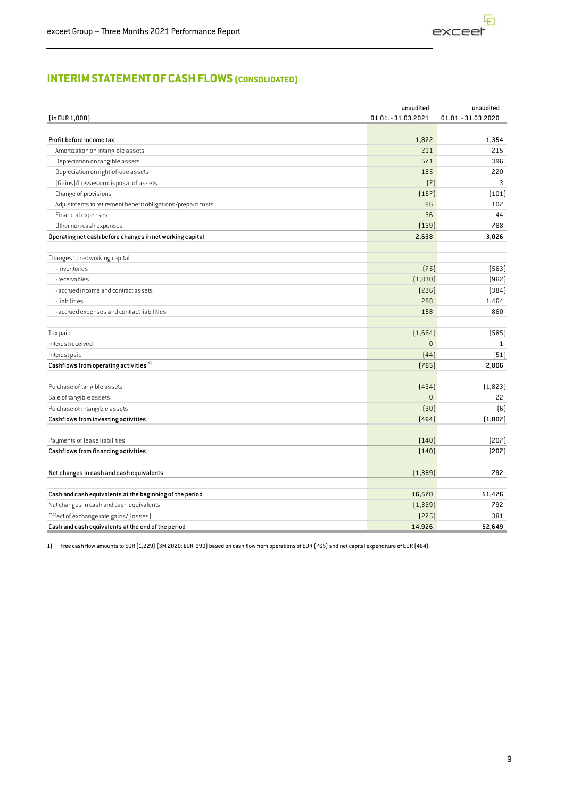

#### **INTERIMSTATEMENTOFCASHFLOWS (CONSOLIDATED)**

|                                                             | unaudited           | unaudited           |
|-------------------------------------------------------------|---------------------|---------------------|
| (in EUR 1,000)                                              | 01.01. - 31.03.2021 | 01.01. - 31.03.2020 |
|                                                             |                     |                     |
| Profit before income tax                                    | 1,872               | 1,354               |
| Amortization on intangible assets                           | 211                 | 215                 |
| Depreciation on tangible assets                             | 571                 | 396                 |
| Depreciation on right-of-use assets                         | 185                 | 220                 |
| (Gains)/Losses on disposal of assets                        | (7)                 | 3                   |
| Change of provisions                                        | [157]               | (101)               |
| Adjustments to retirement benefit obligations/prepaid costs | 96                  | 107                 |
| Financial expenses                                          | 36                  | 44                  |
| Other non-cash expenses                                     | [169]               | 788                 |
| Operating net cash before changes in net working capital    | 2,638               | 3,026               |
|                                                             |                     |                     |
| Changes to net working capital                              |                     |                     |
| - inventories                                               | [75]                | [563]               |
| - receivables                                               | (1, 830)            | (962)               |
| - accrued income and contract assets                        | [236]               | (384)               |
| -liabilities                                                | 288                 | 1,464               |
| - accrued expenses and contract liabilities                 | 158                 | 860                 |
| Tax paid                                                    | [1,664]             | (585)               |
| Interest received                                           | $\mathsf 0$         | $\mathbf{1}$        |
| Interest paid                                               | [44]                | (51)                |
| $\sf Cashflows$ from operating activities $^{\rm 1)}$       | [765]               | 2,806               |
| Purchase of tangible assets                                 | (434)               | (1,823)             |
| Sale of tangible assets                                     | $\mathsf 0$         | 22                  |
| Purchase of intangible assets                               | $[30]$              | (6)                 |
| Cashflows from investing activities                         | [464]               | (1,807)             |
| Payments of lease liabilities                               | (140)               | [207]               |
| Cashflows from financing activities                         | (140)               | [207]               |
| Net changes in cash and cash equivalents                    | [1, 369]            | 792                 |
| Cash and cash equivalents at the beginning of the period    | 16,570              | 51,476              |
| Net changes in cash and cash equivalents                    | [1, 369]            | 792                 |
| Effect of exchange rate gains/(losses)                      | [275]               | 381                 |
| Cash and cash equivalents at the end of the period          | 14,926              | 52.649              |

1) Free cash flow amounts to EUR (1,229) (3M 2020: EUR 999) based on cash flow from operations of EUR (765) and net capital expenditure of EUR (464).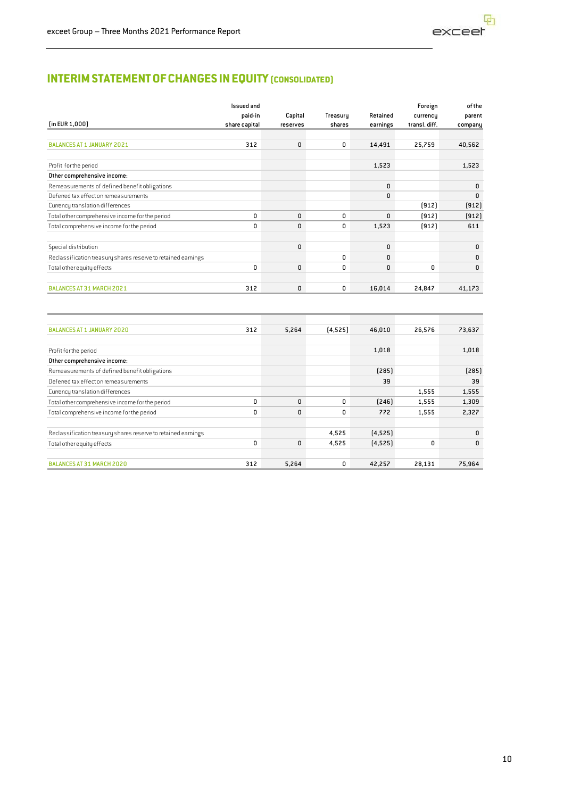#### **INTERIMSTATEMENTOFCHANGES INEQUITY (CONSOLIDATED)**

|                                                               | <b>Issued and</b> |          |          |          | Foreign       | of the  |
|---------------------------------------------------------------|-------------------|----------|----------|----------|---------------|---------|
|                                                               | paid-in           | Capital  | Treasury | Retained | currency      | parent  |
| $[$ in EUR 1,000 $]$                                          | share capital     | reserves | shares   | earnings | transl. diff. | company |
|                                                               |                   |          |          |          |               |         |
| <b>BALANCES AT 1 JANUARY 2021</b>                             | 312               | 0        | 0        | 14,491   | 25,759        | 40,562  |
| Profit for the period                                         |                   |          |          | 1,523    |               | 1,523   |
| Other comprehensive income:                                   |                   |          |          |          |               |         |
| Remeasurements of defined benefit obligations                 |                   |          |          | 0        |               | 0       |
| Deferred tax effect on remeasurements                         |                   |          |          | 0        |               | 0       |
| Currency translation differences                              |                   |          |          |          | (912)         | [912]   |
| Total other comprehensive income for the period               | 0                 | 0        | 0        | 0        | (912)         | (912)   |
| Total comprehensive income for the period                     | 0                 | 0        | 0        | 1,523    | [912]         | 611     |
|                                                               |                   | 0        |          |          |               |         |
| Special distribution                                          |                   |          | 0        | 0<br>0   |               | 0       |
| Reclassification treasury shares reserve to retained earnings |                   |          |          |          |               | 0       |
| Total other equity effects                                    | 0                 | 0        | 0        | 0        | 0             | 0       |
| BALANCES AT 31 MARCH 2021                                     | 312               | 0        | 0        | 16,014   | 24,847        | 41,173  |
|                                                               |                   |          |          |          |               |         |
| <b>BALANCES AT 1 JANUARY 2020</b>                             | 312               | 5,264    | [4,525]  | 46,010   | 26,576        | 73,637  |
| Profit for the period                                         |                   |          |          | 1,018    |               | 1,018   |
| Other comprehensive income:                                   |                   |          |          |          |               |         |
| Remeasurements of defined benefit obligations                 |                   |          |          | [285]    |               | [285]   |
| Deferred tax effect on remeasurements                         |                   |          |          | 39       |               | 39      |
| Currency translation differences                              |                   |          |          |          | 1,555         | 1,555   |
| Total other comprehensive income for the period               | 0                 | 0        | 0        | [246]    | 1,555         | 1,309   |
| Total comprehensive income for the period                     | 0                 | 0        | 0        | 772      | 1,555         | 2,327   |
| Reclassification treasury shares reserve to retained eamings  |                   |          | 4,525    | [4, 525] |               | 0       |

Total other equity effects **0** 0 4,525 (4,525) 0 0

BALANCES AT 31 MARCH 2020 312 5,264 0 42,257 28,131 75,964